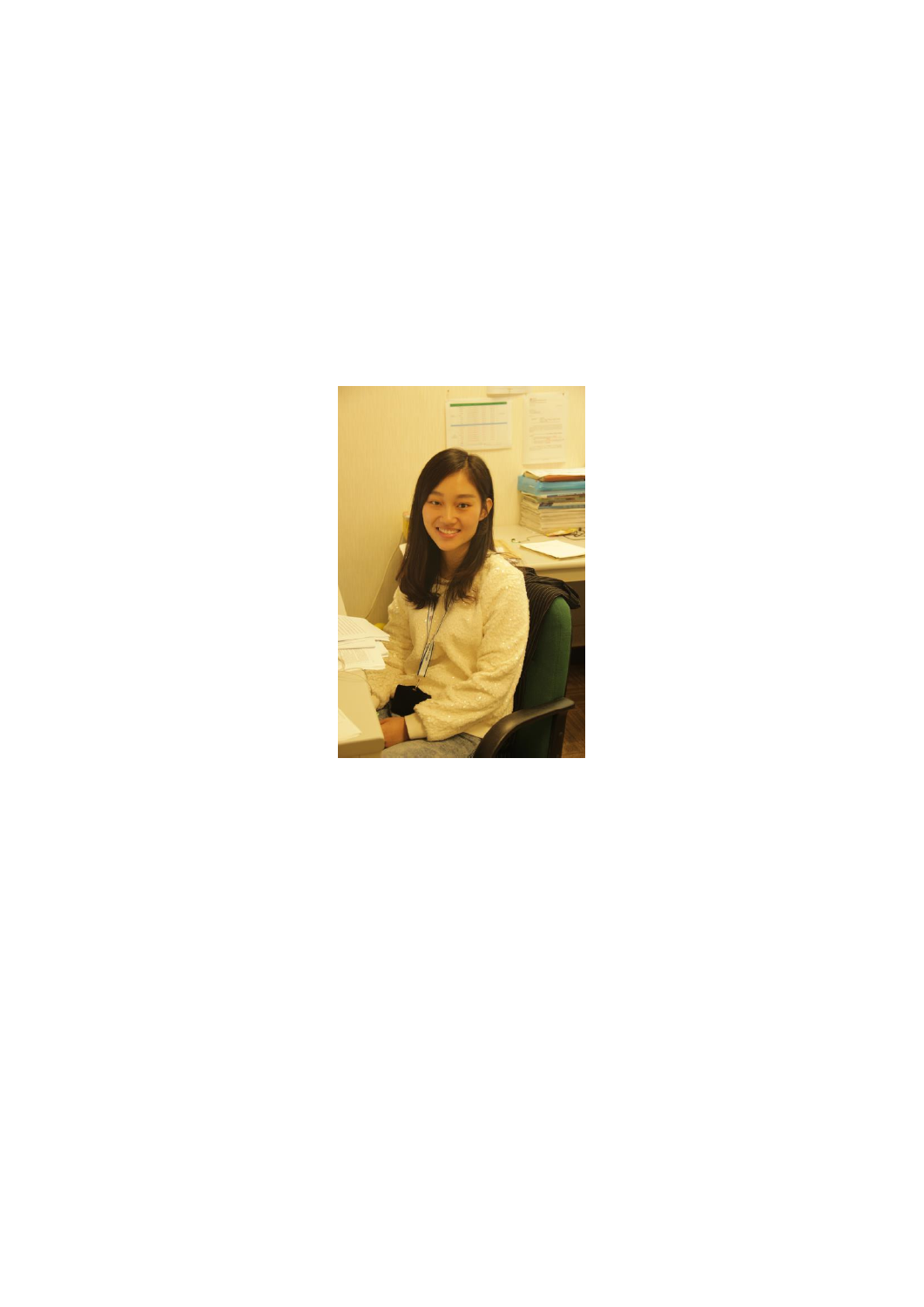